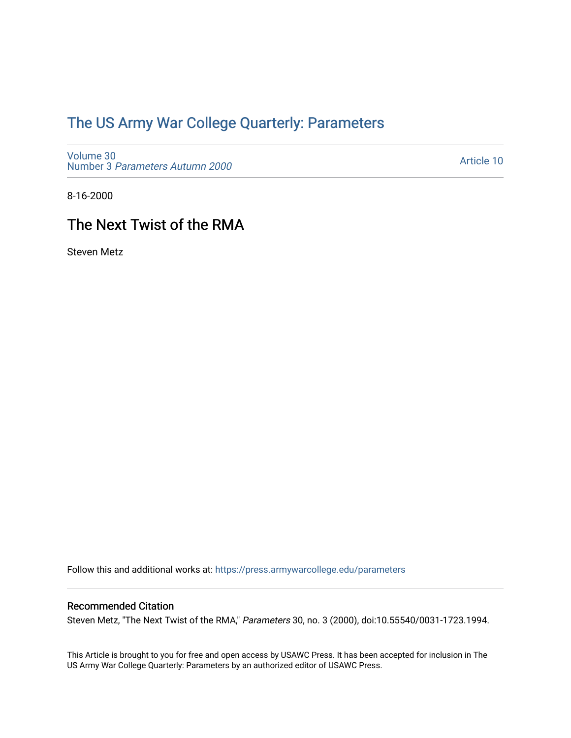## [The US Army War College Quarterly: Parameters](https://press.armywarcollege.edu/parameters)

[Volume 30](https://press.armywarcollege.edu/parameters/vol30) Number 3 [Parameters Autumn 2000](https://press.armywarcollege.edu/parameters/vol30/iss3)

[Article 10](https://press.armywarcollege.edu/parameters/vol30/iss3/10) 

8-16-2000

## The Next Twist of the RMA

Steven Metz

Follow this and additional works at: [https://press.armywarcollege.edu/parameters](https://press.armywarcollege.edu/parameters?utm_source=press.armywarcollege.edu%2Fparameters%2Fvol30%2Fiss3%2F10&utm_medium=PDF&utm_campaign=PDFCoverPages) 

#### Recommended Citation

Steven Metz, "The Next Twist of the RMA," Parameters 30, no. 3 (2000), doi:10.55540/0031-1723.1994.

This Article is brought to you for free and open access by USAWC Press. It has been accepted for inclusion in The US Army War College Quarterly: Parameters by an authorized editor of USAWC Press.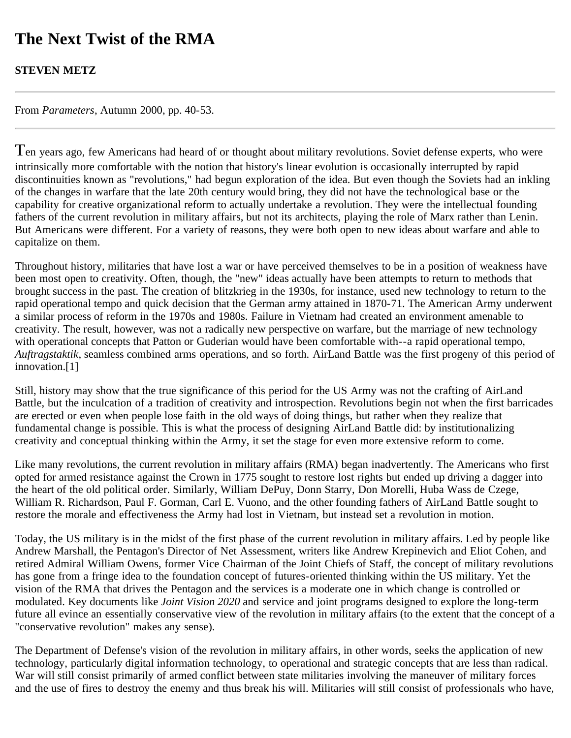# **The Next Twist of the RMA**

**STEVEN METZ**

From *Parameters*, Autumn 2000, pp. 40-53.

Ten years ago, few Americans had heard of or thought about military revolutions. Soviet defense experts, who were intrinsically more comfortable with the notion that history's linear evolution is occasionally interrupted by rapid discontinuities known as "revolutions," had begun exploration of the idea. But even though the Soviets had an inkling of the changes in warfare that the late 20th century would bring, they did not have the technological base or the capability for creative organizational reform to actually undertake a revolution. They were the intellectual founding fathers of the current revolution in military affairs, but not its architects, playing the role of Marx rather than Lenin. But Americans were different. For a variety of reasons, they were both open to new ideas about warfare and able to capitalize on them.

Throughout history, militaries that have lost a war or have perceived themselves to be in a position of weakness have been most open to creativity. Often, though, the "new" ideas actually have been attempts to return to methods that brought success in the past. The creation of blitzkrieg in the 1930s, for instance, used new technology to return to the rapid operational tempo and quick decision that the German army attained in 1870-71. The American Army underwent a similar process of reform in the 1970s and 1980s. Failure in Vietnam had created an environment amenable to creativity. The result, however, was not a radically new perspective on warfare, but the marriage of new technology with operational concepts that Patton or Guderian would have been comfortable with--a rapid operational tempo, *Auftragstaktik*, seamless combined arms operations, and so forth. AirLand Battle was the first progeny of this period of innovation.[1]

Still, history may show that the true significance of this period for the US Army was not the crafting of AirLand Battle, but the inculcation of a tradition of creativity and introspection. Revolutions begin not when the first barricades are erected or even when people lose faith in the old ways of doing things, but rather when they realize that fundamental change is possible. This is what the process of designing AirLand Battle did: by institutionalizing creativity and conceptual thinking within the Army, it set the stage for even more extensive reform to come.

Like many revolutions, the current revolution in military affairs (RMA) began inadvertently. The Americans who first opted for armed resistance against the Crown in 1775 sought to restore lost rights but ended up driving a dagger into the heart of the old political order. Similarly, William DePuy, Donn Starry, Don Morelli, Huba Wass de Czege, William R. Richardson, Paul F. Gorman, Carl E. Vuono, and the other founding fathers of AirLand Battle sought to restore the morale and effectiveness the Army had lost in Vietnam, but instead set a revolution in motion.

Today, the US military is in the midst of the first phase of the current revolution in military affairs. Led by people like Andrew Marshall, the Pentagon's Director of Net Assessment, writers like Andrew Krepinevich and Eliot Cohen, and retired Admiral William Owens, former Vice Chairman of the Joint Chiefs of Staff, the concept of military revolutions has gone from a fringe idea to the foundation concept of futures-oriented thinking within the US military. Yet the vision of the RMA that drives the Pentagon and the services is a moderate one in which change is controlled or modulated. Key documents like *Joint Vision 2020* and service and joint programs designed to explore the long-term future all evince an essentially conservative view of the revolution in military affairs (to the extent that the concept of a "conservative revolution" makes any sense).

The Department of Defense's vision of the revolution in military affairs, in other words, seeks the application of new technology, particularly digital information technology, to operational and strategic concepts that are less than radical. War will still consist primarily of armed conflict between state militaries involving the maneuver of military forces and the use of fires to destroy the enemy and thus break his will. Militaries will still consist of professionals who have,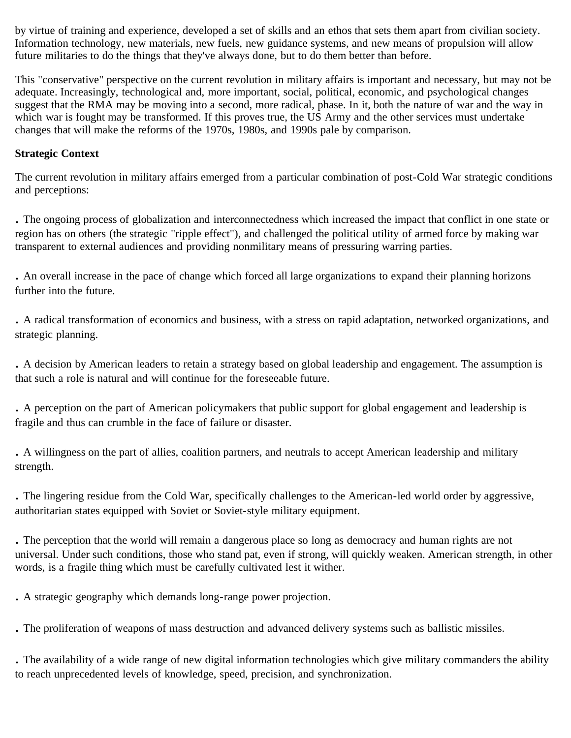by virtue of training and experience, developed a set of skills and an ethos that sets them apart from civilian society. Information technology, new materials, new fuels, new guidance systems, and new means of propulsion will allow future militaries to do the things that they've always done, but to do them better than before.

This "conservative" perspective on the current revolution in military affairs is important and necessary, but may not be adequate. Increasingly, technological and, more important, social, political, economic, and psychological changes suggest that the RMA may be moving into a second, more radical, phase. In it, both the nature of war and the way in which war is fought may be transformed. If this proves true, the US Army and the other services must undertake changes that will make the reforms of the 1970s, 1980s, and 1990s pale by comparison.

#### **Strategic Context**

The current revolution in military affairs emerged from a particular combination of post-Cold War strategic conditions and perceptions:

. The ongoing process of globalization and interconnectedness which increased the impact that conflict in one state or region has on others (the strategic "ripple effect"), and challenged the political utility of armed force by making war transparent to external audiences and providing nonmilitary means of pressuring warring parties.

. An overall increase in the pace of change which forced all large organizations to expand their planning horizons further into the future.

. A radical transformation of economics and business, with a stress on rapid adaptation, networked organizations, and strategic planning.

. A decision by American leaders to retain a strategy based on global leadership and engagement. The assumption is that such a role is natural and will continue for the foreseeable future.

. A perception on the part of American policymakers that public support for global engagement and leadership is fragile and thus can crumble in the face of failure or disaster.

. A willingness on the part of allies, coalition partners, and neutrals to accept American leadership and military strength.

. The lingering residue from the Cold War, specifically challenges to the American-led world order by aggressive, authoritarian states equipped with Soviet or Soviet-style military equipment.

. The perception that the world will remain a dangerous place so long as democracy and human rights are not universal. Under such conditions, those who stand pat, even if strong, will quickly weaken. American strength, in other words, is a fragile thing which must be carefully cultivated lest it wither.

. A strategic geography which demands long-range power projection.

. The proliferation of weapons of mass destruction and advanced delivery systems such as ballistic missiles.

. The availability of a wide range of new digital information technologies which give military commanders the ability to reach unprecedented levels of knowledge, speed, precision, and synchronization.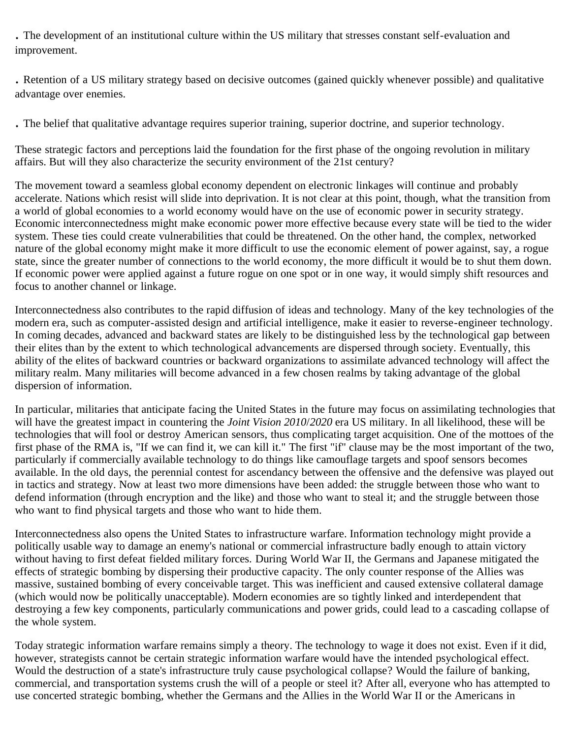. The development of an institutional culture within the US military that stresses constant self-evaluation and improvement.

. Retention of a US military strategy based on decisive outcomes (gained quickly whenever possible) and qualitative advantage over enemies.

. The belief that qualitative advantage requires superior training, superior doctrine, and superior technology.

These strategic factors and perceptions laid the foundation for the first phase of the ongoing revolution in military affairs. But will they also characterize the security environment of the 21st century?

The movement toward a seamless global economy dependent on electronic linkages will continue and probably accelerate. Nations which resist will slide into deprivation. It is not clear at this point, though, what the transition from a world of global economies to a world economy would have on the use of economic power in security strategy. Economic interconnectedness might make economic power more effective because every state will be tied to the wider system. These ties could create vulnerabilities that could be threatened. On the other hand, the complex, networked nature of the global economy might make it more difficult to use the economic element of power against, say, a rogue state, since the greater number of connections to the world economy, the more difficult it would be to shut them down. If economic power were applied against a future rogue on one spot or in one way, it would simply shift resources and focus to another channel or linkage.

Interconnectedness also contributes to the rapid diffusion of ideas and technology. Many of the key technologies of the modern era, such as computer-assisted design and artificial intelligence, make it easier to reverse-engineer technology. In coming decades, advanced and backward states are likely to be distinguished less by the technological gap between their elites than by the extent to which technological advancements are dispersed through society. Eventually, this ability of the elites of backward countries or backward organizations to assimilate advanced technology will affect the military realm. Many militaries will become advanced in a few chosen realms by taking advantage of the global dispersion of information.

In particular, militaries that anticipate facing the United States in the future may focus on assimilating technologies that will have the greatest impact in countering the *Joint Vision 2010*/*2020* era US military. In all likelihood, these will be technologies that will fool or destroy American sensors, thus complicating target acquisition. One of the mottoes of the first phase of the RMA is, "If we can find it, we can kill it." The first "if" clause may be the most important of the two, particularly if commercially available technology to do things like camouflage targets and spoof sensors becomes available. In the old days, the perennial contest for ascendancy between the offensive and the defensive was played out in tactics and strategy. Now at least two more dimensions have been added: the struggle between those who want to defend information (through encryption and the like) and those who want to steal it; and the struggle between those who want to find physical targets and those who want to hide them.

Interconnectedness also opens the United States to infrastructure warfare. Information technology might provide a politically usable way to damage an enemy's national or commercial infrastructure badly enough to attain victory without having to first defeat fielded military forces. During World War II, the Germans and Japanese mitigated the effects of strategic bombing by dispersing their productive capacity. The only counter response of the Allies was massive, sustained bombing of every conceivable target. This was inefficient and caused extensive collateral damage (which would now be politically unacceptable). Modern economies are so tightly linked and interdependent that destroying a few key components, particularly communications and power grids, could lead to a cascading collapse of the whole system.

Today strategic information warfare remains simply a theory. The technology to wage it does not exist. Even if it did, however, strategists cannot be certain strategic information warfare would have the intended psychological effect. Would the destruction of a state's infrastructure truly cause psychological collapse? Would the failure of banking, commercial, and transportation systems crush the will of a people or steel it? After all, everyone who has attempted to use concerted strategic bombing, whether the Germans and the Allies in the World War II or the Americans in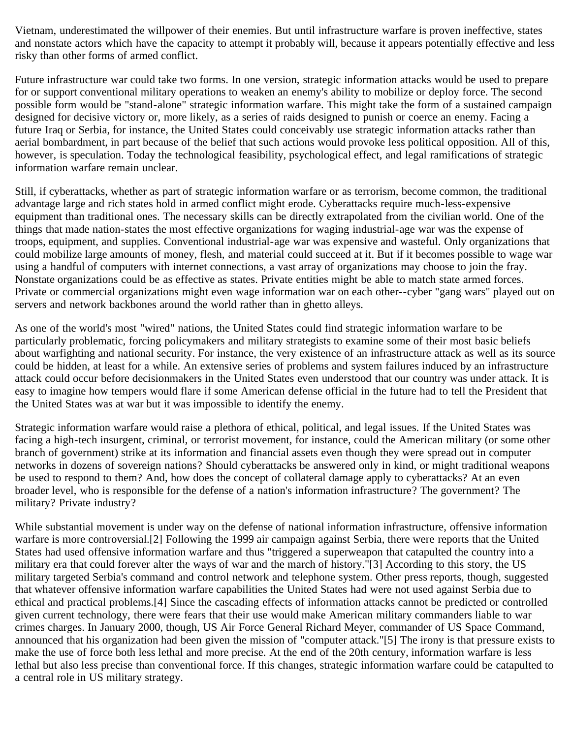Vietnam, underestimated the willpower of their enemies. But until infrastructure warfare is proven ineffective, states and nonstate actors which have the capacity to attempt it probably will, because it appears potentially effective and less risky than other forms of armed conflict.

Future infrastructure war could take two forms. In one version, strategic information attacks would be used to prepare for or support conventional military operations to weaken an enemy's ability to mobilize or deploy force. The second possible form would be "stand-alone" strategic information warfare. This might take the form of a sustained campaign designed for decisive victory or, more likely, as a series of raids designed to punish or coerce an enemy. Facing a future Iraq or Serbia, for instance, the United States could conceivably use strategic information attacks rather than aerial bombardment, in part because of the belief that such actions would provoke less political opposition. All of this, however, is speculation. Today the technological feasibility, psychological effect, and legal ramifications of strategic information warfare remain unclear.

Still, if cyberattacks, whether as part of strategic information warfare or as terrorism, become common, the traditional advantage large and rich states hold in armed conflict might erode. Cyberattacks require much-less-expensive equipment than traditional ones. The necessary skills can be directly extrapolated from the civilian world. One of the things that made nation-states the most effective organizations for waging industrial-age war was the expense of troops, equipment, and supplies. Conventional industrial-age war was expensive and wasteful. Only organizations that could mobilize large amounts of money, flesh, and material could succeed at it. But if it becomes possible to wage war using a handful of computers with internet connections, a vast array of organizations may choose to join the fray. Nonstate organizations could be as effective as states. Private entities might be able to match state armed forces. Private or commercial organizations might even wage information war on each other--cyber "gang wars" played out on servers and network backbones around the world rather than in ghetto alleys.

As one of the world's most "wired" nations, the United States could find strategic information warfare to be particularly problematic, forcing policymakers and military strategists to examine some of their most basic beliefs about warfighting and national security. For instance, the very existence of an infrastructure attack as well as its source could be hidden, at least for a while. An extensive series of problems and system failures induced by an infrastructure attack could occur before decisionmakers in the United States even understood that our country was under attack. It is easy to imagine how tempers would flare if some American defense official in the future had to tell the President that the United States was at war but it was impossible to identify the enemy.

Strategic information warfare would raise a plethora of ethical, political, and legal issues. If the United States was facing a high-tech insurgent, criminal, or terrorist movement, for instance, could the American military (or some other branch of government) strike at its information and financial assets even though they were spread out in computer networks in dozens of sovereign nations? Should cyberattacks be answered only in kind, or might traditional weapons be used to respond to them? And, how does the concept of collateral damage apply to cyberattacks? At an even broader level, who is responsible for the defense of a nation's information infrastructure? The government? The military? Private industry?

While substantial movement is under way on the defense of national information infrastructure, offensive information warfare is more controversial.[2] Following the 1999 air campaign against Serbia, there were reports that the United States had used offensive information warfare and thus "triggered a superweapon that catapulted the country into a military era that could forever alter the ways of war and the march of history."[3] According to this story, the US military targeted Serbia's command and control network and telephone system. Other press reports, though, suggested that whatever offensive information warfare capabilities the United States had were not used against Serbia due to ethical and practical problems.[4] Since the cascading effects of information attacks cannot be predicted or controlled given current technology, there were fears that their use would make American military commanders liable to war crimes charges. In January 2000, though, US Air Force General Richard Meyer, commander of US Space Command, announced that his organization had been given the mission of "computer attack."[5] The irony is that pressure exists to make the use of force both less lethal and more precise. At the end of the 20th century, information warfare is less lethal but also less precise than conventional force. If this changes, strategic information warfare could be catapulted to a central role in US military strategy.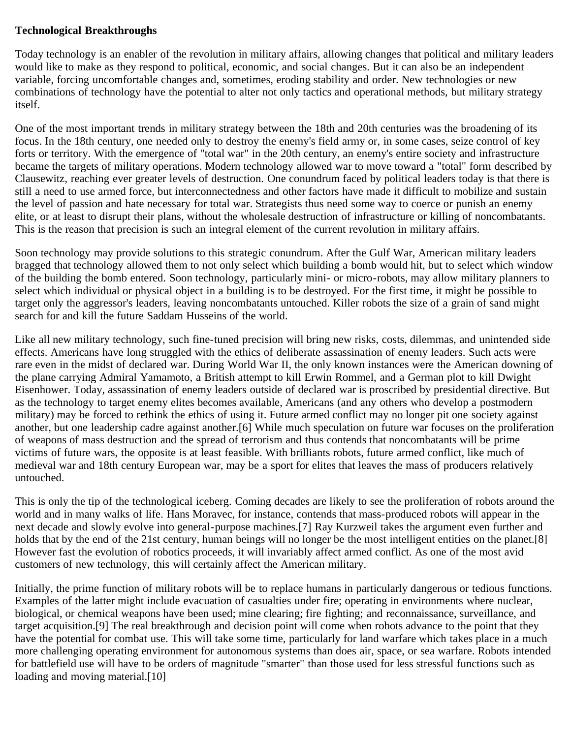#### **Technological Breakthroughs**

Today technology is an enabler of the revolution in military affairs, allowing changes that political and military leaders would like to make as they respond to political, economic, and social changes. But it can also be an independent variable, forcing uncomfortable changes and, sometimes, eroding stability and order. New technologies or new combinations of technology have the potential to alter not only tactics and operational methods, but military strategy itself.

One of the most important trends in military strategy between the 18th and 20th centuries was the broadening of its focus. In the 18th century, one needed only to destroy the enemy's field army or, in some cases, seize control of key forts or territory. With the emergence of "total war" in the 20th century, an enemy's entire society and infrastructure became the targets of military operations. Modern technology allowed war to move toward a "total" form described by Clausewitz, reaching ever greater levels of destruction. One conundrum faced by political leaders today is that there is still a need to use armed force, but interconnectedness and other factors have made it difficult to mobilize and sustain the level of passion and hate necessary for total war. Strategists thus need some way to coerce or punish an enemy elite, or at least to disrupt their plans, without the wholesale destruction of infrastructure or killing of noncombatants. This is the reason that precision is such an integral element of the current revolution in military affairs.

Soon technology may provide solutions to this strategic conundrum. After the Gulf War, American military leaders bragged that technology allowed them to not only select which building a bomb would hit, but to select which window of the building the bomb entered. Soon technology, particularly mini- or micro-robots, may allow military planners to select which individual or physical object in a building is to be destroyed. For the first time, it might be possible to target only the aggressor's leaders, leaving noncombatants untouched. Killer robots the size of a grain of sand might search for and kill the future Saddam Husseins of the world.

Like all new military technology, such fine-tuned precision will bring new risks, costs, dilemmas, and unintended side effects. Americans have long struggled with the ethics of deliberate assassination of enemy leaders. Such acts were rare even in the midst of declared war. During World War II, the only known instances were the American downing of the plane carrying Admiral Yamamoto, a British attempt to kill Erwin Rommel, and a German plot to kill Dwight Eisenhower. Today, assassination of enemy leaders outside of declared war is proscribed by presidential directive. But as the technology to target enemy elites becomes available, Americans (and any others who develop a postmodern military) may be forced to rethink the ethics of using it. Future armed conflict may no longer pit one society against another, but one leadership cadre against another.[6] While much speculation on future war focuses on the proliferation of weapons of mass destruction and the spread of terrorism and thus contends that noncombatants will be prime victims of future wars, the opposite is at least feasible. With brilliants robots, future armed conflict, like much of medieval war and 18th century European war, may be a sport for elites that leaves the mass of producers relatively untouched.

This is only the tip of the technological iceberg. Coming decades are likely to see the proliferation of robots around the world and in many walks of life. Hans Moravec, for instance, contends that mass-produced robots will appear in the next decade and slowly evolve into general-purpose machines.[7] Ray Kurzweil takes the argument even further and holds that by the end of the 21st century, human beings will no longer be the most intelligent entities on the planet.[8] However fast the evolution of robotics proceeds, it will invariably affect armed conflict. As one of the most avid customers of new technology, this will certainly affect the American military.

Initially, the prime function of military robots will be to replace humans in particularly dangerous or tedious functions. Examples of the latter might include evacuation of casualties under fire; operating in environments where nuclear, biological, or chemical weapons have been used; mine clearing; fire fighting; and reconnaissance, surveillance, and target acquisition.[9] The real breakthrough and decision point will come when robots advance to the point that they have the potential for combat use. This will take some time, particularly for land warfare which takes place in a much more challenging operating environment for autonomous systems than does air, space, or sea warfare. Robots intended for battlefield use will have to be orders of magnitude "smarter" than those used for less stressful functions such as loading and moving material.[10]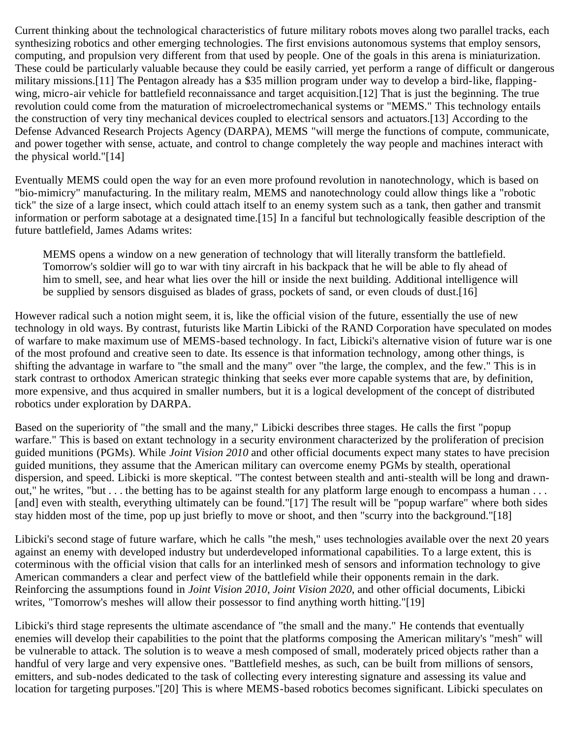Current thinking about the technological characteristics of future military robots moves along two parallel tracks, each synthesizing robotics and other emerging technologies. The first envisions autonomous systems that employ sensors, computing, and propulsion very different from that used by people. One of the goals in this arena is miniaturization. These could be particularly valuable because they could be easily carried, yet perform a range of difficult or dangerous military missions.[11] The Pentagon already has a \$35 million program under way to develop a bird-like, flappingwing, micro-air vehicle for battlefield reconnaissance and target acquisition.[12] That is just the beginning. The true revolution could come from the maturation of microelectromechanical systems or "MEMS." This technology entails the construction of very tiny mechanical devices coupled to electrical sensors and actuators.[13] According to the Defense Advanced Research Projects Agency (DARPA), MEMS "will merge the functions of compute, communicate, and power together with sense, actuate, and control to change completely the way people and machines interact with the physical world."[14]

Eventually MEMS could open the way for an even more profound revolution in nanotechnology, which is based on "bio-mimicry" manufacturing. In the military realm, MEMS and nanotechnology could allow things like a "robotic tick" the size of a large insect, which could attach itself to an enemy system such as a tank, then gather and transmit information or perform sabotage at a designated time.[15] In a fanciful but technologically feasible description of the future battlefield, James Adams writes:

MEMS opens a window on a new generation of technology that will literally transform the battlefield. Tomorrow's soldier will go to war with tiny aircraft in his backpack that he will be able to fly ahead of him to smell, see, and hear what lies over the hill or inside the next building. Additional intelligence will be supplied by sensors disguised as blades of grass, pockets of sand, or even clouds of dust.[16]

However radical such a notion might seem, it is, like the official vision of the future, essentially the use of new technology in old ways. By contrast, futurists like Martin Libicki of the RAND Corporation have speculated on modes of warfare to make maximum use of MEMS-based technology. In fact, Libicki's alternative vision of future war is one of the most profound and creative seen to date. Its essence is that information technology, among other things, is shifting the advantage in warfare to "the small and the many" over "the large, the complex, and the few." This is in stark contrast to orthodox American strategic thinking that seeks ever more capable systems that are, by definition, more expensive, and thus acquired in smaller numbers, but it is a logical development of the concept of distributed robotics under exploration by DARPA.

Based on the superiority of "the small and the many," Libicki describes three stages. He calls the first "popup warfare." This is based on extant technology in a security environment characterized by the proliferation of precision guided munitions (PGMs). While *Joint Vision 2010* and other official documents expect many states to have precision guided munitions, they assume that the American military can overcome enemy PGMs by stealth, operational dispersion, and speed. Libicki is more skeptical. "The contest between stealth and anti-stealth will be long and drawnout," he writes, "but  $\dots$  the betting has to be against stealth for any platform large enough to encompass a human  $\dots$ [and] even with stealth, everything ultimately can be found."[17] The result will be "popup warfare" where both sides stay hidden most of the time, pop up just briefly to move or shoot, and then "scurry into the background."[18]

Libicki's second stage of future warfare, which he calls "the mesh," uses technologies available over the next 20 years against an enemy with developed industry but underdeveloped informational capabilities. To a large extent, this is coterminous with the official vision that calls for an interlinked mesh of sensors and information technology to give American commanders a clear and perfect view of the battlefield while their opponents remain in the dark. Reinforcing the assumptions found in *Joint Vision 2010*, *Joint Vision 2020*, and other official documents, Libicki writes, "Tomorrow's meshes will allow their possessor to find anything worth hitting."[19]

Libicki's third stage represents the ultimate ascendance of "the small and the many." He contends that eventually enemies will develop their capabilities to the point that the platforms composing the American military's "mesh" will be vulnerable to attack. The solution is to weave a mesh composed of small, moderately priced objects rather than a handful of very large and very expensive ones. "Battlefield meshes, as such, can be built from millions of sensors, emitters, and sub-nodes dedicated to the task of collecting every interesting signature and assessing its value and location for targeting purposes."[20] This is where MEMS-based robotics becomes significant. Libicki speculates on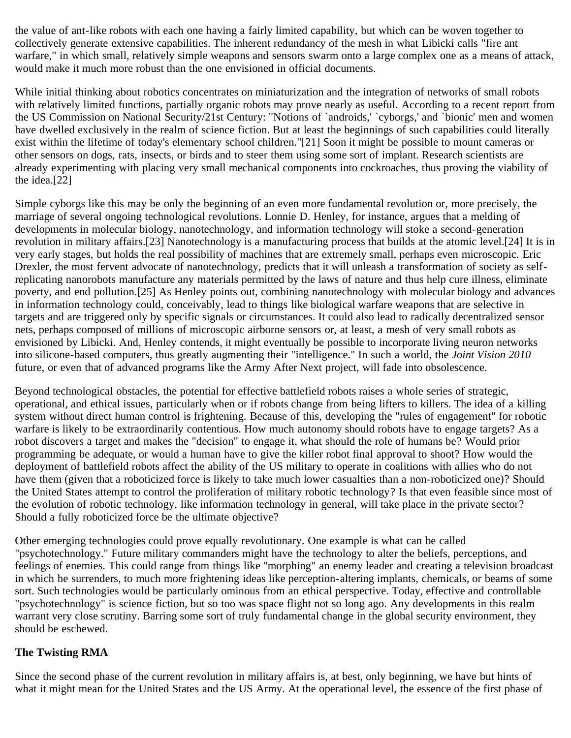the value of ant-like robots with each one having a fairly limited capability, but which can be woven together to collectively generate extensive capabilities. The inherent redundancy of the mesh in what Libicki calls "fire ant warfare," in which small, relatively simple weapons and sensors swarm onto a large complex one as a means of attack, would make it much more robust than the one envisioned in official documents.

While initial thinking about robotics concentrates on miniaturization and the integration of networks of small robots with relatively limited functions, partially organic robots may prove nearly as useful. According to a recent report from the US Commission on National Security/21st Century: "Notions of `androids,' `cyborgs,' and `bionic' men and women have dwelled exclusively in the realm of science fiction. But at least the beginnings of such capabilities could literally exist within the lifetime of today's elementary school children."[21] Soon it might be possible to mount cameras or other sensors on dogs, rats, insects, or birds and to steer them using some sort of implant. Research scientists are already experimenting with placing very small mechanical components into cockroaches, thus proving the viability of the idea.[22]

Simple cyborgs like this may be only the beginning of an even more fundamental revolution or, more precisely, the marriage of several ongoing technological revolutions. Lonnie D. Henley, for instance, argues that a melding of developments in molecular biology, nanotechnology, and information technology will stoke a second-generation revolution in military affairs.[23] Nanotechnology is a manufacturing process that builds at the atomic level.[24] It is in very early stages, but holds the real possibility of machines that are extremely small, perhaps even microscopic. Eric Drexler, the most fervent advocate of nanotechnology, predicts that it will unleash a transformation of society as selfreplicating nanorobots manufacture any materials permitted by the laws of nature and thus help cure illness, eliminate poverty, and end pollution.[25] As Henley points out, combining nanotechnology with molecular biology and advances in information technology could, conceivably, lead to things like biological warfare weapons that are selective in targets and are triggered only by specific signals or circumstances. It could also lead to radically decentralized sensor nets, perhaps composed of millions of microscopic airborne sensors or, at least, a mesh of very small robots as envisioned by Libicki. And, Henley contends, it might eventually be possible to incorporate living neuron networks into silicone-based computers, thus greatly augmenting their "intelligence." In such a world, the *Joint Vision 2010* future, or even that of advanced programs like the Army After Next project, will fade into obsolescence.

Beyond technological obstacles, the potential for effective battlefield robots raises a whole series of strategic, operational, and ethical issues, particularly when or if robots change from being lifters to killers. The idea of a killing system without direct human control is frightening. Because of this, developing the "rules of engagement" for robotic warfare is likely to be extraordinarily contentious. How much autonomy should robots have to engage targets? As a robot discovers a target and makes the "decision" to engage it, what should the role of humans be? Would prior programming be adequate, or would a human have to give the killer robot final approval to shoot? How would the deployment of battlefield robots affect the ability of the US military to operate in coalitions with allies who do not have them (given that a roboticized force is likely to take much lower casualties than a non-roboticized one)? Should the United States attempt to control the proliferation of military robotic technology? Is that even feasible since most of the evolution of robotic technology, like information technology in general, will take place in the private sector? Should a fully roboticized force be the ultimate objective?

Other emerging technologies could prove equally revolutionary. One example is what can be called "psychotechnology." Future military commanders might have the technology to alter the beliefs, perceptions, and feelings of enemies. This could range from things like "morphing" an enemy leader and creating a television broadcast in which he surrenders, to much more frightening ideas like perception-altering implants, chemicals, or beams of some sort. Such technologies would be particularly ominous from an ethical perspective. Today, effective and controllable "psychotechnology" is science fiction, but so too was space flight not so long ago. Any developments in this realm warrant very close scrutiny. Barring some sort of truly fundamental change in the global security environment, they should be eschewed.

### **The Twisting RMA**

Since the second phase of the current revolution in military affairs is, at best, only beginning, we have but hints of what it might mean for the United States and the US Army. At the operational level, the essence of the first phase of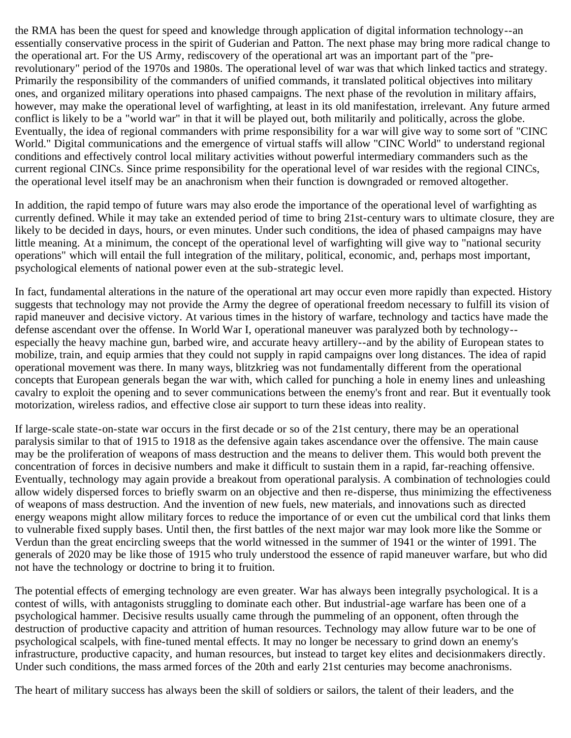the RMA has been the quest for speed and knowledge through application of digital information technology--an essentially conservative process in the spirit of Guderian and Patton. The next phase may bring more radical change to the operational art. For the US Army, rediscovery of the operational art was an important part of the "prerevolutionary" period of the 1970s and 1980s. The operational level of war was that which linked tactics and strategy. Primarily the responsibility of the commanders of unified commands, it translated political objectives into military ones, and organized military operations into phased campaigns. The next phase of the revolution in military affairs, however, may make the operational level of warfighting, at least in its old manifestation, irrelevant. Any future armed conflict is likely to be a "world war" in that it will be played out, both militarily and politically, across the globe. Eventually, the idea of regional commanders with prime responsibility for a war will give way to some sort of "CINC World." Digital communications and the emergence of virtual staffs will allow "CINC World" to understand regional conditions and effectively control local military activities without powerful intermediary commanders such as the current regional CINCs. Since prime responsibility for the operational level of war resides with the regional CINCs, the operational level itself may be an anachronism when their function is downgraded or removed altogether.

In addition, the rapid tempo of future wars may also erode the importance of the operational level of warfighting as currently defined. While it may take an extended period of time to bring 21st-century wars to ultimate closure, they are likely to be decided in days, hours, or even minutes. Under such conditions, the idea of phased campaigns may have little meaning. At a minimum, the concept of the operational level of warfighting will give way to "national security operations" which will entail the full integration of the military, political, economic, and, perhaps most important, psychological elements of national power even at the sub-strategic level.

In fact, fundamental alterations in the nature of the operational art may occur even more rapidly than expected. History suggests that technology may not provide the Army the degree of operational freedom necessary to fulfill its vision of rapid maneuver and decisive victory. At various times in the history of warfare, technology and tactics have made the defense ascendant over the offense. In World War I, operational maneuver was paralyzed both by technology- especially the heavy machine gun, barbed wire, and accurate heavy artillery--and by the ability of European states to mobilize, train, and equip armies that they could not supply in rapid campaigns over long distances. The idea of rapid operational movement was there. In many ways, blitzkrieg was not fundamentally different from the operational concepts that European generals began the war with, which called for punching a hole in enemy lines and unleashing cavalry to exploit the opening and to sever communications between the enemy's front and rear. But it eventually took motorization, wireless radios, and effective close air support to turn these ideas into reality.

If large-scale state-on-state war occurs in the first decade or so of the 21st century, there may be an operational paralysis similar to that of 1915 to 1918 as the defensive again takes ascendance over the offensive. The main cause may be the proliferation of weapons of mass destruction and the means to deliver them. This would both prevent the concentration of forces in decisive numbers and make it difficult to sustain them in a rapid, far-reaching offensive. Eventually, technology may again provide a breakout from operational paralysis. A combination of technologies could allow widely dispersed forces to briefly swarm on an objective and then re-disperse, thus minimizing the effectiveness of weapons of mass destruction. And the invention of new fuels, new materials, and innovations such as directed energy weapons might allow military forces to reduce the importance of or even cut the umbilical cord that links them to vulnerable fixed supply bases. Until then, the first battles of the next major war may look more like the Somme or Verdun than the great encircling sweeps that the world witnessed in the summer of 1941 or the winter of 1991. The generals of 2020 may be like those of 1915 who truly understood the essence of rapid maneuver warfare, but who did not have the technology or doctrine to bring it to fruition.

The potential effects of emerging technology are even greater. War has always been integrally psychological. It is a contest of wills, with antagonists struggling to dominate each other. But industrial-age warfare has been one of a psychological hammer. Decisive results usually came through the pummeling of an opponent, often through the destruction of productive capacity and attrition of human resources. Technology may allow future war to be one of psychological scalpels, with fine-tuned mental effects. It may no longer be necessary to grind down an enemy's infrastructure, productive capacity, and human resources, but instead to target key elites and decisionmakers directly. Under such conditions, the mass armed forces of the 20th and early 21st centuries may become anachronisms.

The heart of military success has always been the skill of soldiers or sailors, the talent of their leaders, and the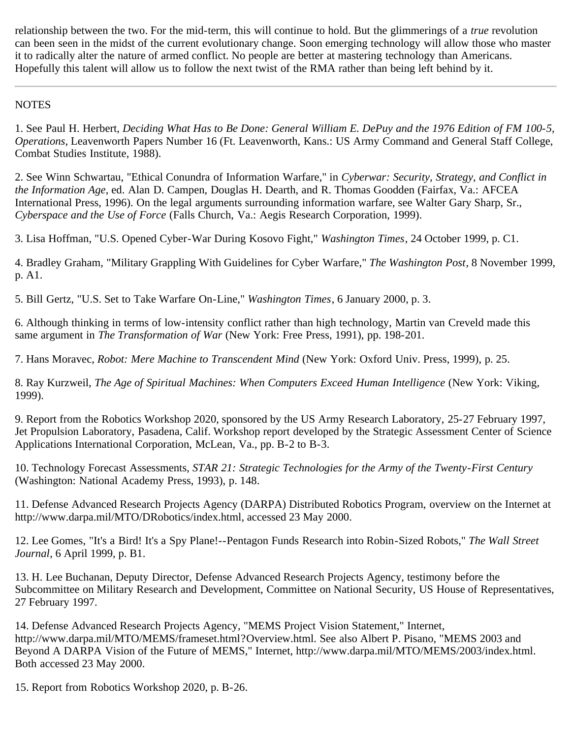relationship between the two. For the mid-term, this will continue to hold. But the glimmerings of a *true* revolution can been seen in the midst of the current evolutionary change. Soon emerging technology will allow those who master it to radically alter the nature of armed conflict. No people are better at mastering technology than Americans. Hopefully this talent will allow us to follow the next twist of the RMA rather than being left behind by it.

#### **NOTES**

1. See Paul H. Herbert, *Deciding What Has to Be Done: General William E. DePuy and the 1976 Edition of FM 100-5, Operations*, Leavenworth Papers Number 16 (Ft. Leavenworth, Kans.: US Army Command and General Staff College, Combat Studies Institute, 1988).

2. See Winn Schwartau, "Ethical Conundra of Information Warfare," in *Cyberwar: Security, Strategy, and Conflict in the Information Age*, ed. Alan D. Campen, Douglas H. Dearth, and R. Thomas Goodden (Fairfax, Va.: AFCEA International Press, 1996). On the legal arguments surrounding information warfare, see Walter Gary Sharp, Sr., *Cyberspace and the Use of Force* (Falls Church, Va.: Aegis Research Corporation, 1999).

3. Lisa Hoffman, "U.S. Opened Cyber-War During Kosovo Fight," *Washington Times*, 24 October 1999, p. C1.

4. Bradley Graham, "Military Grappling With Guidelines for Cyber Warfare," *The Washington Post*, 8 November 1999, p. A1.

5. Bill Gertz, "U.S. Set to Take Warfare On-Line," *Washington Times*, 6 January 2000, p. 3.

6. Although thinking in terms of low-intensity conflict rather than high technology, Martin van Creveld made this same argument in *The Transformation of War* (New York: Free Press, 1991), pp. 198-201.

7. Hans Moravec, *Robot: Mere Machine to Transcendent Mind* (New York: Oxford Univ. Press, 1999), p. 25.

8. Ray Kurzweil, *The Age of Spiritual Machines: When Computers Exceed Human Intelligence* (New York: Viking, 1999).

9. Report from the Robotics Workshop 2020, sponsored by the US Army Research Laboratory, 25-27 February 1997, Jet Propulsion Laboratory, Pasadena, Calif. Workshop report developed by the Strategic Assessment Center of Science Applications International Corporation, McLean, Va., pp. B-2 to B-3.

10. Technology Forecast Assessments, *STAR 21: Strategic Technologies for the Army of the Twenty-First Century* (Washington: National Academy Press, 1993), p. 148.

11. Defense Advanced Research Projects Agency (DARPA) Distributed Robotics Program, overview on the Internet at http://www.darpa.mil/MTO/DRobotics/index.html, accessed 23 May 2000.

12. Lee Gomes, "It's a Bird! It's a Spy Plane!--Pentagon Funds Research into Robin-Sized Robots," *The Wall Street Journal*, 6 April 1999, p. B1.

13. H. Lee Buchanan, Deputy Director, Defense Advanced Research Projects Agency, testimony before the Subcommittee on Military Research and Development, Committee on National Security, US House of Representatives, 27 February 1997.

14. Defense Advanced Research Projects Agency, "MEMS Project Vision Statement," Internet, http://www.darpa.mil/MTO/MEMS/frameset.html?Overview.html. See also Albert P. Pisano, "MEMS 2003 and Beyond A DARPA Vision of the Future of MEMS," Internet, http://www.darpa.mil/MTO/MEMS/2003/index.html. Both accessed 23 May 2000.

15. Report from Robotics Workshop 2020, p. B-26.